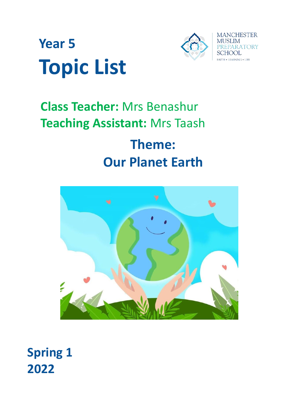



# **Class Teacher:** Mrs Benashur **Teaching Assistant:** Mrs Taash **Theme: Our Planet Earth**



**Spring 1 2022**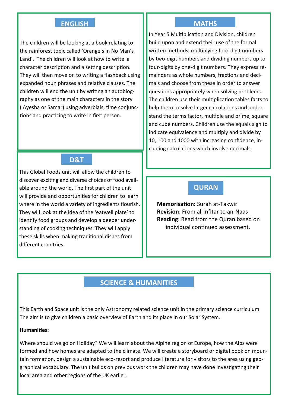#### **ENGLISH**

The children will be looking at a book relating to the rainforest topic called 'Orange's in No Man's Land'. The children will look at how to write a character description and a setting description. They will then move on to writing a flashback using expanded noun phrases and relative clauses. The children will end the unit by writing an autobiography as one of the main characters in the story ( Ayesha or Samar) using adverbials, time conjunctions and practicing to write in first person.

## **D&T**

This Global Foods unit will allow the children to discover exciting and diverse choices of food available around the world. The first part of the unit will provide and opportunities for children to learn where in the world a variety of ingredients flourish. They will look at the idea of the 'eatwell plate' to identify food groups and develop a deeper understanding of cooking techniques. They will apply these skills when making traditional dishes from different countries.

#### **MATHS**

In Year 5 Multiplication and Division, children build upon and extend their use of the formal written methods, multiplying four-digit numbers by two-digit numbers and dividing numbers up to four-digits by one-digit numbers. They express remainders as whole numbers, fractions and decimals and choose from these in order to answer questions appropriately when solving problems. The children use their multiplication tables facts to help them to solve larger calculations and understand the terms factor, multiple and prime, square and cube numbers. Children use the equals sign to indicate equivalence and multiply and divide by 10, 100 and 1000 with increasing confidence, including calculations which involve decimals.

## **QURAN**

**Memorisation:** Surah at-Takwir **Revision**: From al-Infitar to an-Naas **Reading**: Read from the Quran based on individual continued assessment.

## **SCIENCE & HUMANITIES**

This Earth and Space unit is the only Astronomy related science unit in the primary science curriculum. The aim is to give children a basic overview of Earth and its place in our Solar System.

#### **Humanities:**

Where should we go on Holiday? We will learn about the Alpine region of Europe, how the Alps were formed and how homes are adapted to the climate. We will create a storyboard or digital book on mountain formation, design a sustainable eco-resort and produce literature for visitors to the area using geographical vocabulary. The unit builds on previous work the children may have done investigating their local area and other regions of the UK earlier.